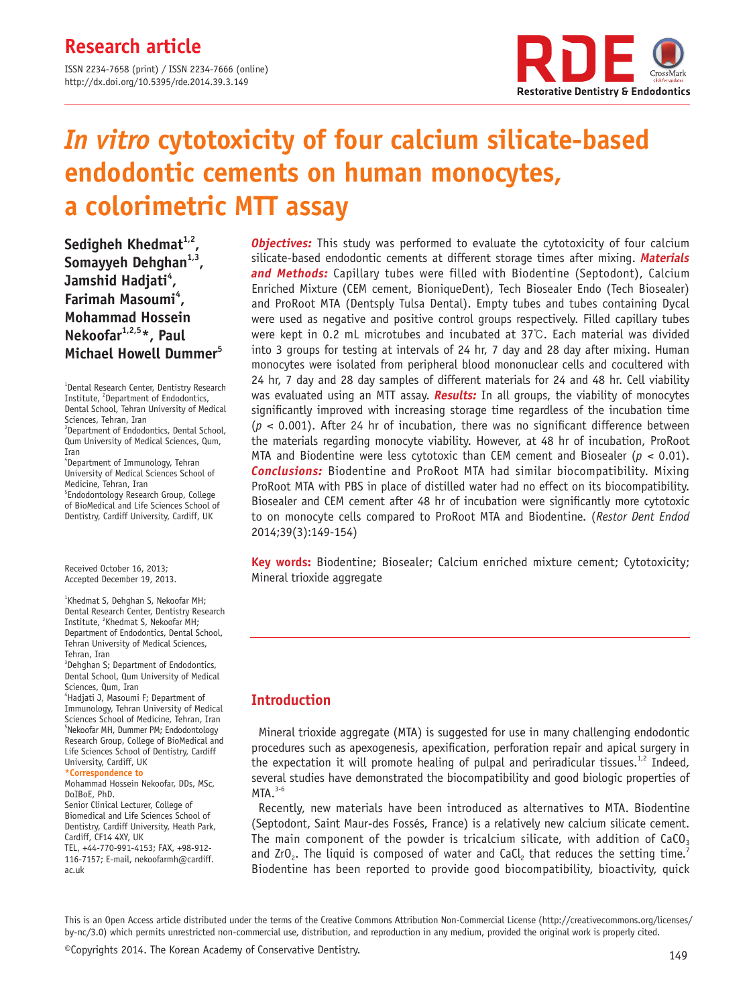# **Research article**

ISSN 2234-7658 (print) / ISSN 2234-7666 (online) http://dx.doi.org/10.5395/rde.2014.39.3.149



# *In vitro* **cytotoxicity of four calcium silicate-based endodontic cements on human monocytes, a colorimetric MTT assay**

Sedigheh Khedmat<sup>1,2</sup>, Somayyeh Dehghan<sup>1,3</sup>, Jamshid Hadjati<sup>4</sup>, Farimah Masoumi<sup>4</sup>, **Mohammad Hossein Nekoofar1,2,5\*, Paul Michael Howell Dummer5**

1 Dental Research Center, Dentistry Research Institute, <sup>2</sup>Department of Endodontics, Dental School, Tehran University of Medical Sciences, Tehran, Iran <sup>3</sup>Department of Endodontics, Dental School, Qum University of Medical Sciences, Qum, Iran 4 Department of Immunology, Tehran University of Medical Sciences School of Medicine, Tehran, Iran

5 Endodontology Research Group, College of BioMedical and Life Sciences School of Dentistry, Cardiff University, Cardiff, UK

Received October 16, 2013; Accepted December 19, 2013.

<sup>1</sup>Khedmat S, Dehghan S, Nekoofar MH; Dental Research Center, Dentistry Research Institute, <sup>2</sup>Khedmat S, Nekoofar MH; Department of Endodontics, Dental School, Tehran University of Medical Sciences, Tehran, Iran

3 Dehghan S; Department of Endodontics, Dental School, Qum University of Medical Sciences, Qum, Iran

4 Hadjati J, Masoumi F; Department of Immunology, Tehran University of Medical Sciences School of Medicine, Tehran, Iran 5 Nekoofar MH, Dummer PM; Endodontology Research Group, College of BioMedical and Life Sciences School of Dentistry, Cardiff University, Cardiff, UK

**\*Correspondence to**  Mohammad Hossein Nekoofar, DDs, MSc, DoIBoE, PhD.

Senior Clinical Lecturer, College of Biomedical and Life Sciences School of Dentistry, Cardiff University, Heath Park, Cardiff, CF14 4XY, UK TEL, +44-770-991-4153; FAX, +98-912- 116-7157; E-mail, nekoofarmh@cardiff. ac.uk

**Objectives:** This study was performed to evaluate the cytotoxicity of four calcium silicate-based endodontic cements at different storage times after mixing. **Materials and Methods:** Capillary tubes were filled with Biodentine (Septodont), Calcium Enriched Mixture (CEM cement, BioniqueDent), Tech Biosealer Endo (Tech Biosealer) and ProRoot MTA (Dentsply Tulsa Dental). Empty tubes and tubes containing Dycal were used as negative and positive control groups respectively. Filled capillary tubes were kept in 0.2 mL microtubes and incubated at 37℃. Each material was divided into 3 groups for testing at intervals of 24 hr, 7 day and 28 day after mixing. Human monocytes were isolated from peripheral blood mononuclear cells and cocultered with 24 hr, 7 day and 28 day samples of different materials for 24 and 48 hr. Cell viability was evaluated using an MTT assay. **Results:** In all groups, the viability of monocytes significantly improved with increasing storage time regardless of the incubation time (*p* < 0.001). After 24 hr of incubation, there was no significant difference between the materials regarding monocyte viability. However, at 48 hr of incubation, ProRoot MTA and Biodentine were less cytotoxic than CEM cement and Biosealer (*p* < 0.01). **Conclusions:** Biodentine and ProRoot MTA had similar biocompatibility. Mixing ProRoot MTA with PBS in place of distilled water had no effect on its biocompatibility. Biosealer and CEM cement after 48 hr of incubation were significantly more cytotoxic to on monocyte cells compared to ProRoot MTA and Biodentine. (*Restor Dent Endod* 2014;39(3):149-154)

**Key words:** Biodentine; Biosealer; Calcium enriched mixture cement; Cytotoxicity; Mineral trioxide aggregate

# **Introduction**

Mineral trioxide aggregate (MTA) is suggested for use in many challenging endodontic procedures such as apexogenesis, apexification, perforation repair and apical surgery in the expectation it will promote healing of pulpal and periradicular tissues.<sup>1,2</sup> Indeed, several studies have demonstrated the biocompatibility and good biologic properties of  $MTA.<sup>3-6</sup>$ 

Recently, new materials have been introduced as alternatives to MTA. Biodentine (Septodont, Saint Maur-des Fossés, France) is a relatively new calcium silicate cement. The main component of the powder is tricalcium silicate, with addition of  $CaCO<sub>3</sub>$ and ZrO<sub>2</sub>. The liquid is composed of water and CaCl<sub>2</sub> that reduces the setting time.<sup>7</sup> Biodentine has been reported to provide good biocompatibility, bioactivity, quick

This is an Open Access article distributed under the terms of the Creative Commons Attribution Non-Commercial License (http://creativecommons.org/licenses/ by-nc/3.0) which permits unrestricted non-commercial use, distribution, and reproduction in any medium, provided the original work is properly cited.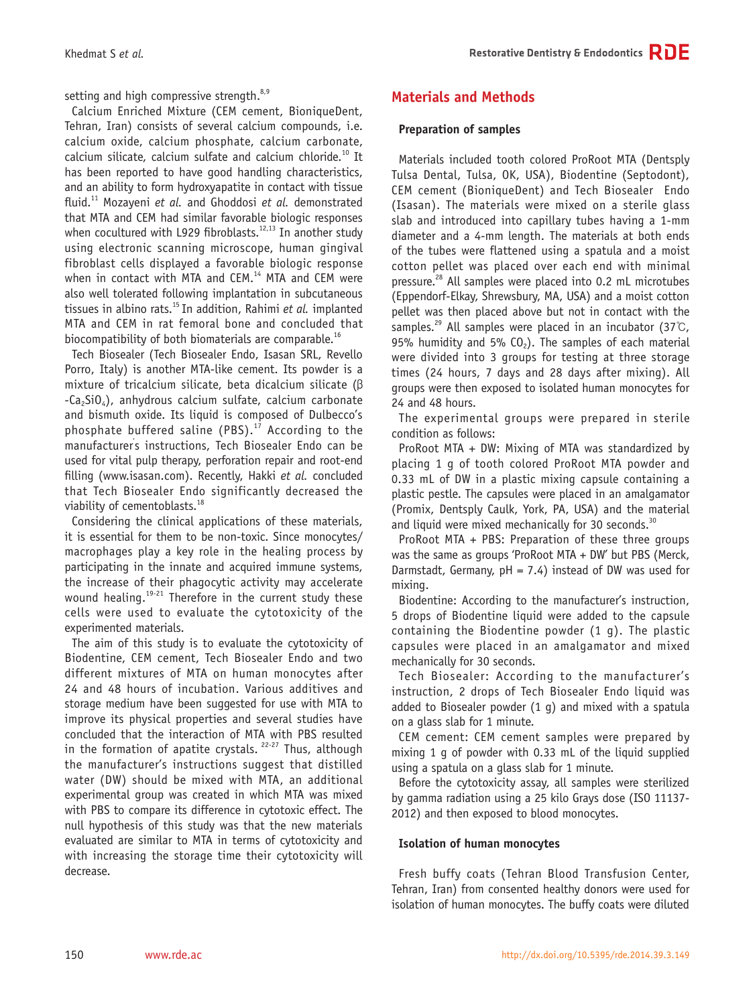setting and high compressive strength.<sup>8,9</sup>

Calcium Enriched Mixture (CEM cement, BioniqueDent, Tehran, Iran) consists of several calcium compounds, i.e. calcium oxide, calcium phosphate, calcium carbonate, calcium silicate, calcium sulfate and calcium chloride.<sup>10</sup> It has been reported to have good handling characteristics, and an ability to form hydroxyapatite in contact with tissue fluid.11 Mozayeni *et al.* and Ghoddosi *et al.* demonstrated that MTA and CEM had similar favorable biologic responses when cocultured with L929 fibroblasts.<sup>12,13</sup> In another study using electronic scanning microscope, human gingival fibroblast cells displayed a favorable biologic response when in contact with MTA and CEM.<sup>14</sup> MTA and CEM were also well tolerated following implantation in subcutaneous tissues in albino rats.15 In addition, Rahimi *et al.* implanted MTA and CEM in rat femoral bone and concluded that biocompatibility of both biomaterials are comparable.<sup>16</sup>

Tech Biosealer (Tech Biosealer Endo, Isasan SRL, Revello Porro, Italy) is another MTA-like cement. Its powder is a mixture of tricalcium silicate, beta dicalcium silicate (β  $-Ca_2SiO_4$ , anhydrous calcium sulfate, calcium carbonate and bismuth oxide. Its liquid is composed of Dulbecco's phosphate buffered saline (PBS). $^{17}$  According to the manufacturer' s instructions, Tech Biosealer Endo can be used for vital pulp therapy, perforation repair and root-end filling (www.isasan.com). Recently, Hakki *et al.* concluded that Tech Biosealer Endo significantly decreased the viability of cementoblasts.<sup>18</sup>

Considering the clinical applications of these materials, it is essential for them to be non-toxic. Since monocytes/ macrophages play a key role in the healing process by participating in the innate and acquired immune systems, the increase of their phagocytic activity may accelerate wound healing. $19-21$  Therefore in the current study these cells were used to evaluate the cytotoxicity of the experimented materials.

The aim of this study is to evaluate the cytotoxicity of Biodentine, CEM cement, Tech Biosealer Endo and two different mixtures of MTA on human monocytes after 24 and 48 hours of incubation. Various additives and storage medium have been suggested for use with MTA to improve its physical properties and several studies have concluded that the interaction of MTA with PBS resulted in the formation of apatite crystals.  $22-27$  Thus, although the manufacturer's instructions suggest that distilled water (DW) should be mixed with MTA, an additional experimental group was created in which MTA was mixed with PBS to compare its difference in cytotoxic effect. The null hypothesis of this study was that the new materials evaluated are similar to MTA in terms of cytotoxicity and with increasing the storage time their cytotoxicity will decrease.

# **Materials and Methods**

#### **Preparation of samples**

Materials included tooth colored ProRoot MTA (Dentsply Tulsa Dental, Tulsa, OK, USA), Biodentine (Septodont), CEM cement (BioniqueDent) and Tech Biosealer Endo (Isasan). The materials were mixed on a sterile glass slab and introduced into capillary tubes having a 1-mm diameter and a 4-mm length. The materials at both ends of the tubes were flattened using a spatula and a moist cotton pellet was placed over each end with minimal pressure.<sup>28</sup> All samples were placed into 0.2 mL microtubes (Eppendorf-Elkay, Shrewsbury, MA, USA) and a moist cotton pellet was then placed above but not in contact with the samples.<sup>29</sup> All samples were placed in an incubator (37°C, 95% humidity and 5%  $CO<sub>2</sub>$ ). The samples of each material were divided into 3 groups for testing at three storage times (24 hours, 7 days and 28 days after mixing). All groups were then exposed to isolated human monocytes for 24 and 48 hours.

The experimental groups were prepared in sterile condition as follows:

ProRoot MTA + DW: Mixing of MTA was standardized by placing 1 g of tooth colored ProRoot MTA powder and 0.33 mL of DW in a plastic mixing capsule containing a plastic pestle. The capsules were placed in an amalgamator (Promix, Dentsply Caulk, York, PA, USA) and the material and liquid were mixed mechanically for 30 seconds.<sup>30</sup>

ProRoot MTA + PBS: Preparation of these three groups was the same as groups 'ProRoot MTA + DW' but PBS (Merck, Darmstadt, Germany,  $pH = 7.4$ ) instead of DW was used for mixing.

Biodentine: According to the manufacturer's instruction, 5 drops of Biodentine liquid were added to the capsule containing the Biodentine powder (1 g). The plastic capsules were placed in an amalgamator and mixed mechanically for 30 seconds.

Tech Biosealer: According to the manufacturer's instruction, 2 drops of Tech Biosealer Endo liquid was added to Biosealer powder (1 g) and mixed with a spatula on a glass slab for 1 minute.

CEM cement: CEM cement samples were prepared by mixing 1 g of powder with 0.33 mL of the liquid supplied using a spatula on a glass slab for 1 minute.

Before the cytotoxicity assay, all samples were sterilized by gamma radiation using a 25 kilo Grays dose (ISO 11137- 2012) and then exposed to blood monocytes.

#### **Isolation of human monocytes**

Fresh buffy coats (Tehran Blood Transfusion Center, Tehran, Iran) from consented healthy donors were used for isolation of human monocytes. The buffy coats were diluted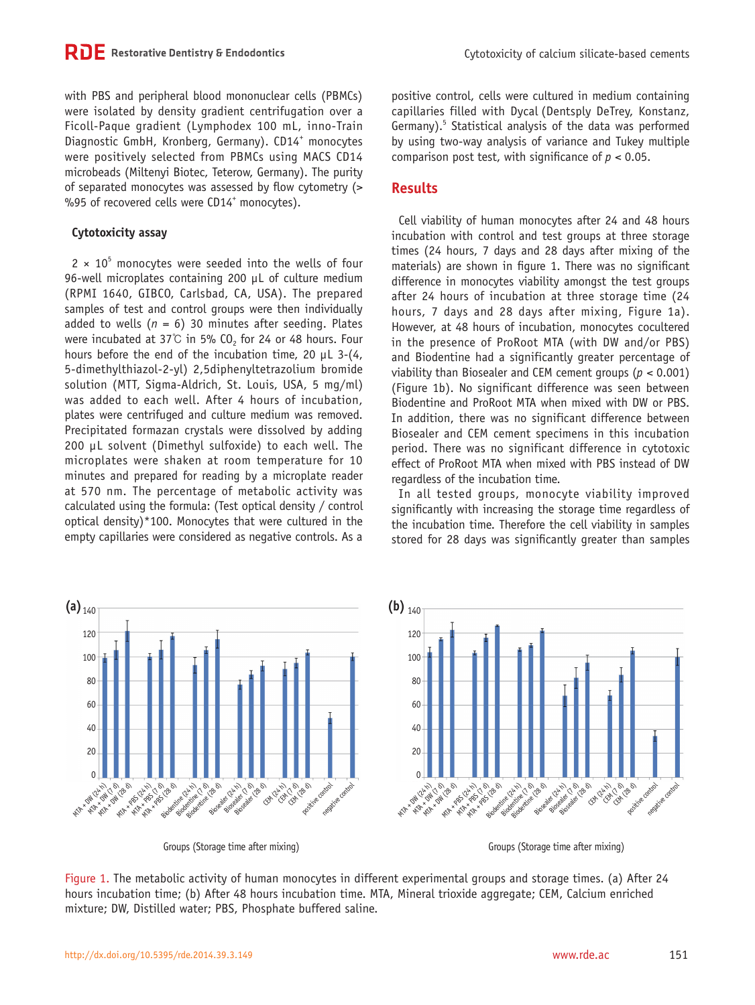with PBS and peripheral blood mononuclear cells (PBMCs) were isolated by density gradient centrifugation over a Ficoll-Paque gradient (Lymphodex 100 mL, inno-Train Diagnostic GmbH, Kronberg, Germany). CD14<sup>+</sup> monocytes were positively selected from PBMCs using MACS CD14 microbeads (Miltenyi Biotec, Teterow, Germany). The purity of separated monocytes was assessed by flow cytometry (> %95 of recovered cells were CD14<sup>+</sup> monocytes).

#### **Cytotoxicity assay**

 $2 \times 10^5$  monocytes were seeded into the wells of four 96-well microplates containing 200 µL of culture medium (RPMI 1640, GIBCO, Carlsbad, CA, USA). The prepared samples of test and control groups were then individually added to wells  $(n = 6)$  30 minutes after seeding. Plates were incubated at 37°C in 5% CO<sub>2</sub> for 24 or 48 hours. Four hours before the end of the incubation time, 20 µL 3-(4, 5-dimethylthiazol-2-yl) 2,5diphenyltetrazolium bromide solution (MTT, Sigma-Aldrich, St. Louis, USA, 5 mg/ml) was added to each well. After 4 hours of incubation, plates were centrifuged and culture medium was removed. Precipitated formazan crystals were dissolved by adding 200 µL solvent (Dimethyl sulfoxide) to each well. The microplates were shaken at room temperature for 10 minutes and prepared for reading by a microplate reader at 570 nm. The percentage of metabolic activity was calculated using the formula: (Test optical density / control optical density)\*100. Monocytes that were cultured in the empty capillaries were considered as negative controls. As a

positive control, cells were cultured in medium containing capillaries filled with Dycal (Dentsply DeTrey, Konstanz, Germany).<sup>5</sup> Statistical analysis of the data was performed by using two-way analysis of variance and Tukey multiple comparison post test, with significance of  $p < 0.05$ .

## **Results**

Cell viability of human monocytes after 24 and 48 hours incubation with control and test groups at three storage times (24 hours, 7 days and 28 days after mixing of the materials) are shown in figure 1. There was no significant difference in monocytes viability amongst the test groups after 24 hours of incubation at three storage time (24 hours, 7 days and 28 days after mixing, Figure 1a). However, at 48 hours of incubation, monocytes cocultered in the presence of ProRoot MTA (with DW and/or PBS) and Biodentine had a significantly greater percentage of viability than Biosealer and CEM cement groups (*p* < 0.001) (Figure 1b). No significant difference was seen between Biodentine and ProRoot MTA when mixed with DW or PBS. In addition, there was no significant difference between Biosealer and CEM cement specimens in this incubation period. There was no significant difference in cytotoxic effect of ProRoot MTA when mixed with PBS instead of DW regardless of the incubation time.

In all tested groups, monocyte viability improved significantly with increasing the storage time regardless of the incubation time. Therefore the cell viability in samples stored for 28 days was significantly greater than samples



Groups (Storage time after mixing)

Groups (Storage time after mixing)

Figure 1. The metabolic activity of human monocytes in different experimental groups and storage times. (a) After 24 hours incubation time; (b) After 48 hours incubation time. MTA, Mineral trioxide aggregate; CEM, Calcium enriched mixture; DW, Distilled water; PBS, Phosphate buffered saline.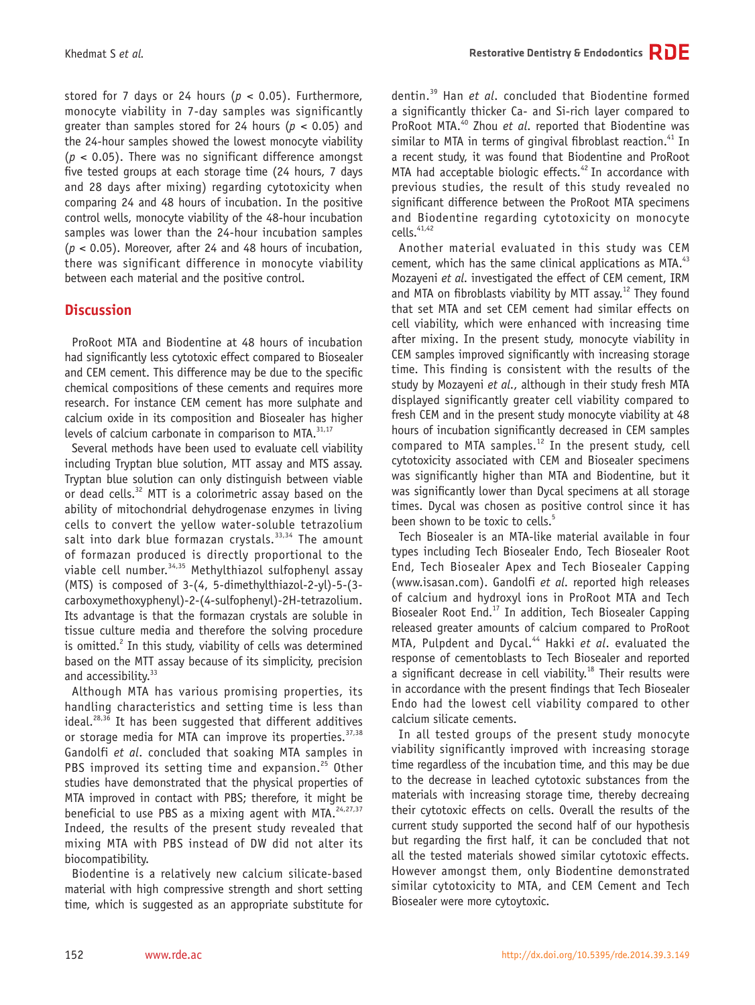stored for 7 days or 24 hours (*p* < 0.05). Furthermore, monocyte viability in 7-day samples was significantly greater than samples stored for 24 hours (*p* < 0.05) and the 24-hour samples showed the lowest monocyte viability (*p* < 0.05). There was no significant difference amongst five tested groups at each storage time (24 hours, 7 days and 28 days after mixing) regarding cytotoxicity when comparing 24 and 48 hours of incubation. In the positive control wells, monocyte viability of the 48-hour incubation samples was lower than the 24-hour incubation samples (*p* < 0.05). Moreover, after 24 and 48 hours of incubation, there was significant difference in monocyte viability between each material and the positive control.

#### **Discussion**

ProRoot MTA and Biodentine at 48 hours of incubation had significantly less cytotoxic effect compared to Biosealer and CEM cement. This difference may be due to the specific chemical compositions of these cements and requires more research. For instance CEM cement has more sulphate and calcium oxide in its composition and Biosealer has higher levels of calcium carbonate in comparison to MTA. $31,17$ 

Several methods have been used to evaluate cell viability including Tryptan blue solution, MTT assay and MTS assay. Tryptan blue solution can only distinguish between viable or dead cells.<sup>32</sup> MTT is a colorimetric assay based on the ability of mitochondrial dehydrogenase enzymes in living cells to convert the yellow water-soluble tetrazolium salt into dark blue formazan crystals.<sup>33,34</sup> The amount of formazan produced is directly proportional to the viable cell number.<sup>34,35</sup> Methylthiazol sulfophenyl assay (MTS) is composed of 3-(4, 5-dimethylthiazol-2-yl)-5-(3 carboxymethoxyphenyl)-2-(4-sulfophenyl)-2H-tetrazolium. Its advantage is that the formazan crystals are soluble in tissue culture media and therefore the solving procedure is omitted. $2$  In this study, viability of cells was determined based on the MTT assay because of its simplicity, precision and accessibility.<sup>33</sup>

Although MTA has various promising properties, its handling characteristics and setting time is less than ideal. $^{28,36}$  It has been suggested that different additives or storage media for MTA can improve its properties.  $37,38$ Gandolfi *et al*. concluded that soaking MTA samples in PBS improved its setting time and expansion.<sup>25</sup> Other studies have demonstrated that the physical properties of MTA improved in contact with PBS; therefore, it might be beneficial to use PBS as a mixing agent with MTA.<sup>24,27,37</sup> Indeed, the results of the present study revealed that mixing MTA with PBS instead of DW did not alter its biocompatibility.

Biodentine is a relatively new calcium silicate-based material with high compressive strength and short setting time, which is suggested as an appropriate substitute for dentin.39 Han *et al*. concluded that Biodentine formed a significantly thicker Ca- and Si-rich layer compared to ProRoot MTA.40 Zhou *et al*. reported that Biodentine was similar to MTA in terms of gingival fibroblast reaction. $41$  In a recent study, it was found that Biodentine and ProRoot MTA had acceptable biologic effects. $42$  In accordance with previous studies, the result of this study revealed no significant difference between the ProRoot MTA specimens and Biodentine regarding cytotoxicity on monocyte cells.<sup>41,42</sup>

Another material evaluated in this study was CEM cement, which has the same clinical applications as MTA.<sup>43</sup> Mozayeni *et al*. investigated the effect of CEM cement, IRM and MTA on fibroblasts viability by MTT assay.<sup>12</sup> They found that set MTA and set CEM cement had similar effects on cell viability, which were enhanced with increasing time after mixing. In the present study, monocyte viability in CEM samples improved significantly with increasing storage time. This finding is consistent with the results of the study by Mozayeni *et al*., although in their study fresh MTA displayed significantly greater cell viability compared to fresh CEM and in the present study monocyte viability at 48 hours of incubation significantly decreased in CEM samples compared to MTA samples.<sup>12</sup> In the present study, cell cytotoxicity associated with CEM and Biosealer specimens was significantly higher than MTA and Biodentine, but it was significantly lower than Dycal specimens at all storage times. Dycal was chosen as positive control since it has been shown to be toxic to cells.<sup>5</sup>

Tech Biosealer is an MTA-like material available in four types including Tech Biosealer Endo, Tech Biosealer Root End, Tech Biosealer Apex and Tech Biosealer Capping (www.isasan.com). Gandolfi *et al*. reported high releases of calcium and hydroxyl ions in ProRoot MTA and Tech Biosealer Root End.17 In addition, Tech Biosealer Capping released greater amounts of calcium compared to ProRoot MTA, Pulpdent and Dycal.<sup>44</sup> Hakki et al. evaluated the response of cementoblasts to Tech Biosealer and reported a significant decrease in cell viability.<sup>18</sup> Their results were in accordance with the present findings that Tech Biosealer Endo had the lowest cell viability compared to other calcium silicate cements.

In all tested groups of the present study monocyte viability significantly improved with increasing storage time regardless of the incubation time, and this may be due to the decrease in leached cytotoxic substances from the materials with increasing storage time, thereby decreaing their cytotoxic effects on cells. Overall the results of the current study supported the second half of our hypothesis but regarding the first half, it can be concluded that not all the tested materials showed similar cytotoxic effects. However amongst them, only Biodentine demonstrated similar cytotoxicity to MTA, and CEM Cement and Tech Biosealer were more cytoytoxic.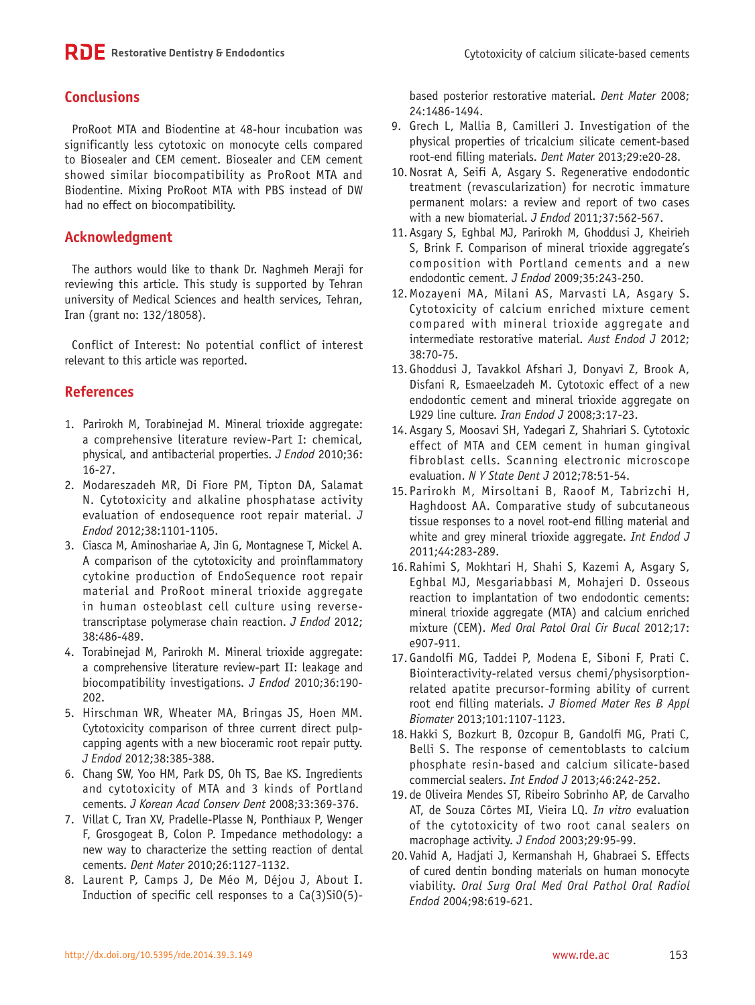# **Conclusions**

ProRoot MTA and Biodentine at 48-hour incubation was significantly less cytotoxic on monocyte cells compared to Biosealer and CEM cement. Biosealer and CEM cement showed similar biocompatibility as ProRoot MTA and Biodentine. Mixing ProRoot MTA with PBS instead of DW had no effect on biocompatibility.

## **Acknowledgment**

The authors would like to thank Dr. Naghmeh Meraji for reviewing this article. This study is supported by Tehran university of Medical Sciences and health services, Tehran, Iran (grant no: 132/18058).

Conflict of Interest: No potential conflict of interest relevant to this article was reported.

#### **References**

- 1. Parirokh M, Torabinejad M. Mineral trioxide aggregate: a comprehensive literature review-Part I: chemical, physical, and antibacterial properties. *J Endod* 2010;36: 16-27.
- 2. Modareszadeh MR, Di Fiore PM, Tipton DA, Salamat N. Cytotoxicity and alkaline phosphatase activity evaluation of endosequence root repair material. *J Endod* 2012;38:1101-1105.
- 3. Ciasca M, Aminoshariae A, Jin G, Montagnese T, Mickel A. A comparison of the cytotoxicity and proinflammatory cytokine production of EndoSequence root repair material and ProRoot mineral trioxide aggregate in human osteoblast cell culture using reversetranscriptase polymerase chain reaction. *J Endod* 2012; 38:486-489.
- 4. Torabinejad M, Parirokh M. Mineral trioxide aggregate: a comprehensive literature review-part II: leakage and biocompatibility investigations. *J Endod* 2010;36:190- 202.
- 5. Hirschman WR, Wheater MA, Bringas JS, Hoen MM. Cytotoxicity comparison of three current direct pulpcapping agents with a new bioceramic root repair putty. *J Endod* 2012;38:385-388.
- 6. Chang SW, Yoo HM, Park DS, Oh TS, Bae KS. Ingredients and cytotoxicity of MTA and 3 kinds of Portland cements. *J Korean Acad Conserv Dent* 2008;33:369-376.
- 7. Villat C, Tran XV, Pradelle-Plasse N, Ponthiaux P, Wenger F, Grosgogeat B, Colon P. Impedance methodology: a new way to characterize the setting reaction of dental cements. *Dent Mater* 2010;26:1127-1132.
- 8. Laurent P, Camps J, De Méo M, Déjou J, About I. Induction of specific cell responses to a Ca(3)SiO(5)-

based posterior restorative material. *Dent Mater* 2008; 24:1486-1494.

- 9. Grech L, Mallia B, Camilleri J. Investigation of the physical properties of tricalcium silicate cement-based root-end filling materials. *Dent Mater* 2013;29:e20-28.
- 10.Nosrat A, Seifi A, Asgary S. Regenerative endodontic treatment (revascularization) for necrotic immature permanent molars: a review and report of two cases with a new biomaterial. *J Endod* 2011;37:562-567.
- 11. Asgary S, Eghbal MJ, Parirokh M, Ghoddusi J, Kheirieh S, Brink F. Comparison of mineral trioxide aggregate's composition with Portland cements and a new endodontic cement. *J Endod* 2009;35:243-250.
- 12.Mozayeni MA, Milani AS, Marvasti LA, Asgary S. Cytotoxicity of calcium enriched mixture cement compared with mineral trioxide aggregate and intermediate restorative material. *Aust Endod J* 2012; 38:70-75.
- 13. Ghoddusi J, Tavakkol Afshari J, Donyavi Z, Brook A, Disfani R, Esmaeelzadeh M. Cytotoxic effect of a new endodontic cement and mineral trioxide aggregate on L929 line culture. *Iran Endod J* 2008;3:17-23.
- 14. Asgary S, Moosavi SH, Yadegari Z, Shahriari S. Cytotoxic effect of MTA and CEM cement in human gingival fibroblast cells. Scanning electronic microscope evaluation. *N Y State Dent J* 2012;78:51-54.
- 15. Parirokh M, Mirsoltani B, Raoof M, Tabrizchi H, Haghdoost AA. Comparative study of subcutaneous tissue responses to a novel root-end filling material and white and grey mineral trioxide aggregate. *Int Endod J*  2011;44:283-289.
- 16. Rahimi S, Mokhtari H, Shahi S, Kazemi A, Asgary S, Eghbal MJ, Mesgariabbasi M, Mohajeri D. Osseous reaction to implantation of two endodontic cements: mineral trioxide aggregate (MTA) and calcium enriched mixture (CEM). *Med Oral Patol Oral Cir Bucal* 2012;17: e907-911.
- 17. Gandolfi MG, Taddei P, Modena E, Siboni F, Prati C. Biointeractivity-related versus chemi/physisorptionrelated apatite precursor-forming ability of current root end filling materials. *J Biomed Mater Res B Appl Biomater* 2013;101:1107-1123.
- 18.Hakki S, Bozkurt B, Ozcopur B, Gandolfi MG, Prati C, Belli S. The response of cementoblasts to calcium phosphate resin-based and calcium silicate-based commercial sealers. *Int Endod J* 2013;46:242-252.
- 19. de Oliveira Mendes ST, Ribeiro Sobrinho AP, de Carvalho AT, de Souza Côrtes MI, Vieira LQ. *In vitro* evaluation of the cytotoxicity of two root canal sealers on macrophage activity. *J Endod* 2003;29:95-99.
- 20. Vahid A, Hadjati J, Kermanshah H, Ghabraei S. Effects of cured dentin bonding materials on human monocyte viability. *Oral Surg Oral Med Oral Pathol Oral Radiol Endod* 2004;98:619-621.